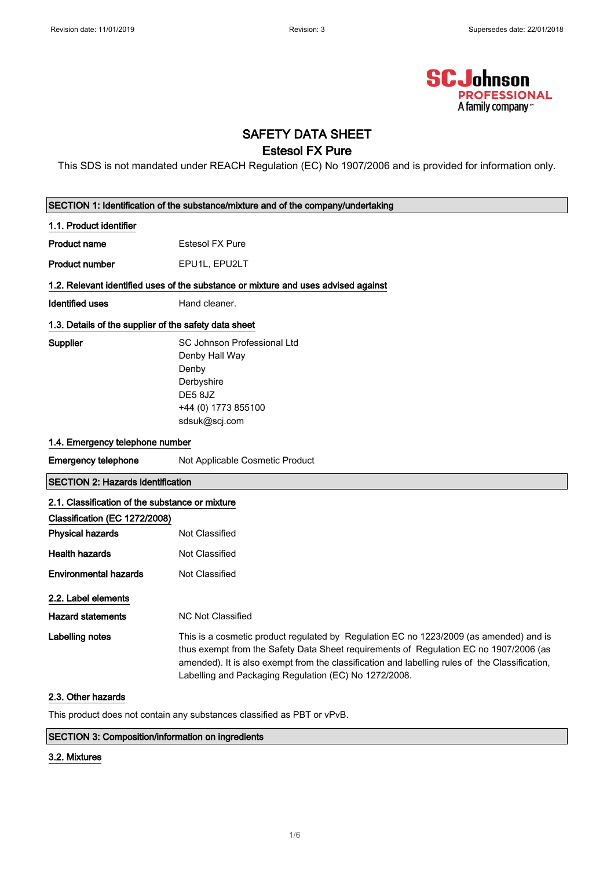

# SAFETY DATA SHEET

## Estesol FX Pure

This SDS is not mandated under REACH Regulation (EC) No 1907/2006 and is provided for information only.

|                                                       | SECTION 1: Identification of the substance/mixture and of the company/undertaking                                                                                                                                                                                                                                                          |  |  |
|-------------------------------------------------------|--------------------------------------------------------------------------------------------------------------------------------------------------------------------------------------------------------------------------------------------------------------------------------------------------------------------------------------------|--|--|
| 1.1. Product identifier                               |                                                                                                                                                                                                                                                                                                                                            |  |  |
| <b>Product name</b>                                   | <b>Estesol FX Pure</b>                                                                                                                                                                                                                                                                                                                     |  |  |
| <b>Product number</b>                                 | EPU1L, EPU2LT                                                                                                                                                                                                                                                                                                                              |  |  |
|                                                       | 1.2. Relevant identified uses of the substance or mixture and uses advised against                                                                                                                                                                                                                                                         |  |  |
|                                                       |                                                                                                                                                                                                                                                                                                                                            |  |  |
| <b>Identified uses</b>                                | Hand cleaner.                                                                                                                                                                                                                                                                                                                              |  |  |
| 1.3. Details of the supplier of the safety data sheet |                                                                                                                                                                                                                                                                                                                                            |  |  |
| <b>Supplier</b>                                       | SC Johnson Professional Ltd                                                                                                                                                                                                                                                                                                                |  |  |
|                                                       | Denby Hall Way                                                                                                                                                                                                                                                                                                                             |  |  |
|                                                       | Denby                                                                                                                                                                                                                                                                                                                                      |  |  |
|                                                       | Derbyshire                                                                                                                                                                                                                                                                                                                                 |  |  |
|                                                       | DE58JZ                                                                                                                                                                                                                                                                                                                                     |  |  |
|                                                       | +44 (0) 1773 855100                                                                                                                                                                                                                                                                                                                        |  |  |
|                                                       | sdsuk@scj.com                                                                                                                                                                                                                                                                                                                              |  |  |
| 1.4. Emergency telephone number                       |                                                                                                                                                                                                                                                                                                                                            |  |  |
| <b>Emergency telephone</b>                            | Not Applicable Cosmetic Product                                                                                                                                                                                                                                                                                                            |  |  |
| <b>SECTION 2: Hazards identification</b>              |                                                                                                                                                                                                                                                                                                                                            |  |  |
| 2.1. Classification of the substance or mixture       |                                                                                                                                                                                                                                                                                                                                            |  |  |
| Classification (EC 1272/2008)                         |                                                                                                                                                                                                                                                                                                                                            |  |  |
| <b>Physical hazards</b>                               | Not Classified                                                                                                                                                                                                                                                                                                                             |  |  |
| <b>Health hazards</b>                                 | Not Classified                                                                                                                                                                                                                                                                                                                             |  |  |
| <b>Environmental hazards</b>                          | Not Classified                                                                                                                                                                                                                                                                                                                             |  |  |
| 2.2. Label elements                                   |                                                                                                                                                                                                                                                                                                                                            |  |  |
| <b>Hazard statements</b>                              | <b>NC Not Classified</b>                                                                                                                                                                                                                                                                                                                   |  |  |
|                                                       |                                                                                                                                                                                                                                                                                                                                            |  |  |
| Labelling notes                                       | This is a cosmetic product regulated by Regulation EC no 1223/2009 (as amended) and is<br>thus exempt from the Safety Data Sheet requirements of Regulation EC no 1907/2006 (as<br>amended). It is also exempt from the classification and labelling rules of the Classification,<br>Labelling and Packaging Regulation (EC) No 1272/2008. |  |  |
| 2.3. Other hazards                                    |                                                                                                                                                                                                                                                                                                                                            |  |  |

This product does not contain any substances classified as PBT or vPvB.

#### SECTION 3: Composition/information on ingredients

#### 3.2. Mixtures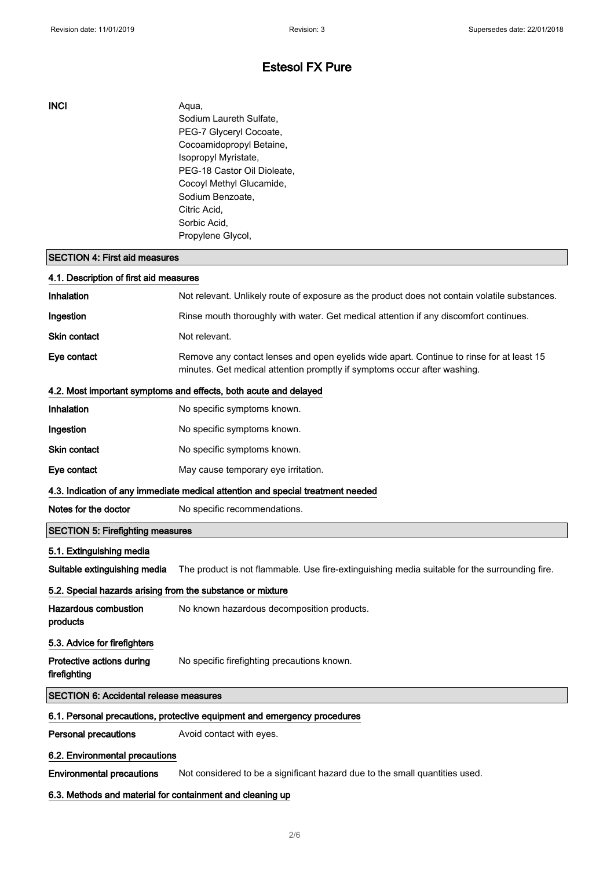INCI Aqua, Sodium Laureth Sulfate, PEG-7 Glyceryl Cocoate, Cocoamidopropyl Betaine, Isopropyl Myristate, PEG-18 Castor Oil Dioleate, Cocoyl Methyl Glucamide, Sodium Benzoate, Citric Acid, Sorbic Acid, Propylene Glycol,

### SECTION 4: First aid measures

| 4.1. Description of first aid measures                                          |                                                                                                                                                                      |  |
|---------------------------------------------------------------------------------|----------------------------------------------------------------------------------------------------------------------------------------------------------------------|--|
| <b>Inhalation</b>                                                               | Not relevant. Unlikely route of exposure as the product does not contain volatile substances.                                                                        |  |
| Ingestion                                                                       | Rinse mouth thoroughly with water. Get medical attention if any discomfort continues.                                                                                |  |
| Skin contact                                                                    | Not relevant.                                                                                                                                                        |  |
| Eye contact                                                                     | Remove any contact lenses and open eyelids wide apart. Continue to rinse for at least 15<br>minutes. Get medical attention promptly if symptoms occur after washing. |  |
|                                                                                 | 4.2. Most important symptoms and effects, both acute and delayed                                                                                                     |  |
| Inhalation                                                                      | No specific symptoms known.                                                                                                                                          |  |
| Ingestion                                                                       | No specific symptoms known.                                                                                                                                          |  |
| <b>Skin contact</b>                                                             | No specific symptoms known.                                                                                                                                          |  |
| Eye contact                                                                     | May cause temporary eye irritation.                                                                                                                                  |  |
| 4.3. Indication of any immediate medical attention and special treatment needed |                                                                                                                                                                      |  |
| Notes for the doctor                                                            | No specific recommendations.                                                                                                                                         |  |
| <b>SECTION 5: Firefighting measures</b>                                         |                                                                                                                                                                      |  |
| 5.1. Extinguishing media                                                        |                                                                                                                                                                      |  |
| Suitable extinguishing media                                                    | The product is not flammable. Use fire-extinguishing media suitable for the surrounding fire.                                                                        |  |
| 5.2. Special hazards arising from the substance or mixture                      |                                                                                                                                                                      |  |
| Hazardous combustion<br>products                                                | No known hazardous decomposition products.                                                                                                                           |  |
| 5.3. Advice for firefighters                                                    |                                                                                                                                                                      |  |
| Protective actions during<br>firefighting                                       | No specific firefighting precautions known.                                                                                                                          |  |
| <b>SECTION 6: Accidental release measures</b>                                   |                                                                                                                                                                      |  |
|                                                                                 | 6.1. Personal precautions, protective equipment and emergency procedures                                                                                             |  |
| <b>Personal precautions</b>                                                     | Avoid contact with eyes.                                                                                                                                             |  |
| 6.2. Environmental precautions                                                  |                                                                                                                                                                      |  |
| <b>Environmental precautions</b>                                                | Not considered to be a significant hazard due to the small quantities used.                                                                                          |  |
| 6.3. Methods and material for containment and cleaning up                       |                                                                                                                                                                      |  |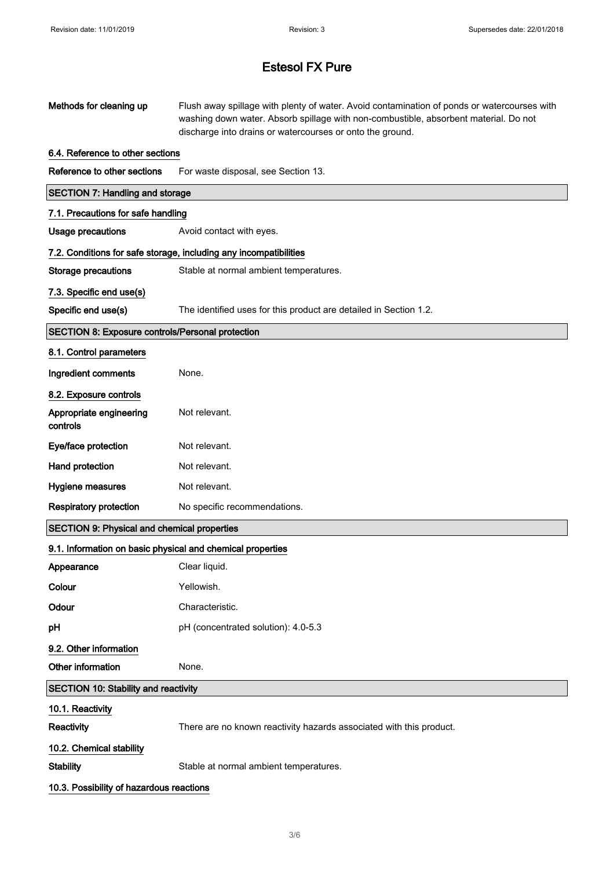| Methods for cleaning up                                    | Flush away spillage with plenty of water. Avoid contamination of ponds or watercourses with<br>washing down water. Absorb spillage with non-combustible, absorbent material. Do not<br>discharge into drains or watercourses or onto the ground. |  |  |
|------------------------------------------------------------|--------------------------------------------------------------------------------------------------------------------------------------------------------------------------------------------------------------------------------------------------|--|--|
| 6.4. Reference to other sections                           |                                                                                                                                                                                                                                                  |  |  |
| Reference to other sections                                | For waste disposal, see Section 13.                                                                                                                                                                                                              |  |  |
| <b>SECTION 7: Handling and storage</b>                     |                                                                                                                                                                                                                                                  |  |  |
| 7.1. Precautions for safe handling                         |                                                                                                                                                                                                                                                  |  |  |
| <b>Usage precautions</b>                                   | Avoid contact with eyes.                                                                                                                                                                                                                         |  |  |
|                                                            | 7.2. Conditions for safe storage, including any incompatibilities                                                                                                                                                                                |  |  |
| Storage precautions                                        | Stable at normal ambient temperatures.                                                                                                                                                                                                           |  |  |
| 7.3. Specific end use(s)                                   |                                                                                                                                                                                                                                                  |  |  |
| Specific end use(s)                                        | The identified uses for this product are detailed in Section 1.2.                                                                                                                                                                                |  |  |
| SECTION 8: Exposure controls/Personal protection           |                                                                                                                                                                                                                                                  |  |  |
| 8.1. Control parameters                                    |                                                                                                                                                                                                                                                  |  |  |
| Ingredient comments                                        | None.                                                                                                                                                                                                                                            |  |  |
| 8.2. Exposure controls                                     |                                                                                                                                                                                                                                                  |  |  |
| Appropriate engineering<br>controls                        | Not relevant.                                                                                                                                                                                                                                    |  |  |
| Eye/face protection                                        | Not relevant.                                                                                                                                                                                                                                    |  |  |
| Hand protection                                            | Not relevant.                                                                                                                                                                                                                                    |  |  |
| Hygiene measures                                           | Not relevant.                                                                                                                                                                                                                                    |  |  |
| <b>Respiratory protection</b>                              | No specific recommendations.                                                                                                                                                                                                                     |  |  |
| <b>SECTION 9: Physical and chemical properties</b>         |                                                                                                                                                                                                                                                  |  |  |
| 9.1. Information on basic physical and chemical properties |                                                                                                                                                                                                                                                  |  |  |
| Appearance                                                 | Clear liquid.                                                                                                                                                                                                                                    |  |  |
| Colour                                                     | Yellowish.                                                                                                                                                                                                                                       |  |  |
| Odour                                                      | Characteristic.                                                                                                                                                                                                                                  |  |  |
| pH                                                         | pH (concentrated solution): 4.0-5.3                                                                                                                                                                                                              |  |  |
| 9.2. Other information                                     |                                                                                                                                                                                                                                                  |  |  |
| Other information                                          | None.                                                                                                                                                                                                                                            |  |  |
| <b>SECTION 10: Stability and reactivity</b>                |                                                                                                                                                                                                                                                  |  |  |
| 10.1. Reactivity                                           |                                                                                                                                                                                                                                                  |  |  |
| Reactivity                                                 | There are no known reactivity hazards associated with this product.                                                                                                                                                                              |  |  |
| 10.2. Chemical stability                                   |                                                                                                                                                                                                                                                  |  |  |
| <b>Stability</b>                                           | Stable at normal ambient temperatures.                                                                                                                                                                                                           |  |  |
| 10.3. Possibility of hazardous reactions                   |                                                                                                                                                                                                                                                  |  |  |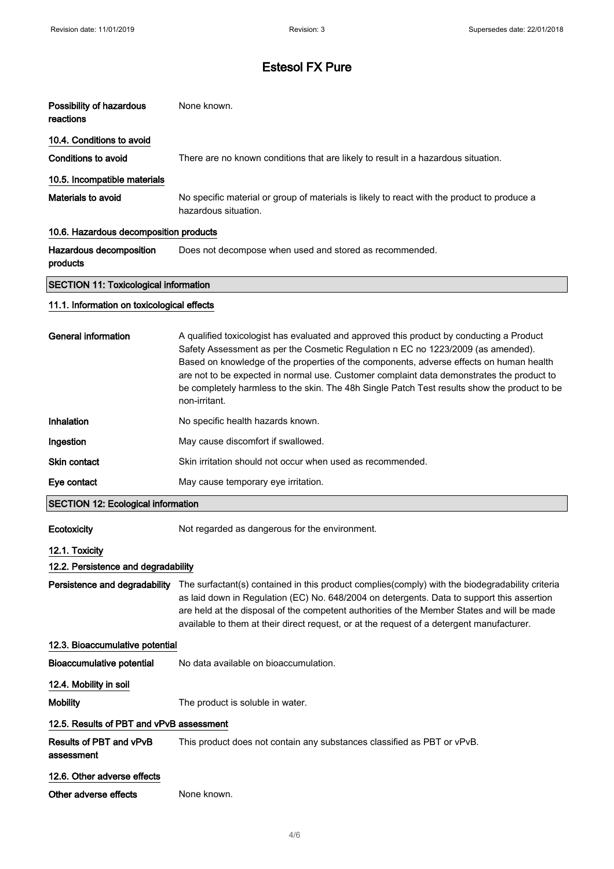| Possibility of hazardous<br>reactions        | None known.                                                                                                                                                                                                                                                                                                                                                                                                                                                                           |  |  |  |
|----------------------------------------------|---------------------------------------------------------------------------------------------------------------------------------------------------------------------------------------------------------------------------------------------------------------------------------------------------------------------------------------------------------------------------------------------------------------------------------------------------------------------------------------|--|--|--|
| 10.4. Conditions to avoid                    |                                                                                                                                                                                                                                                                                                                                                                                                                                                                                       |  |  |  |
| <b>Conditions to avoid</b>                   | There are no known conditions that are likely to result in a hazardous situation.                                                                                                                                                                                                                                                                                                                                                                                                     |  |  |  |
| 10.5. Incompatible materials                 |                                                                                                                                                                                                                                                                                                                                                                                                                                                                                       |  |  |  |
| Materials to avoid                           | No specific material or group of materials is likely to react with the product to produce a<br>hazardous situation.                                                                                                                                                                                                                                                                                                                                                                   |  |  |  |
| 10.6. Hazardous decomposition products       |                                                                                                                                                                                                                                                                                                                                                                                                                                                                                       |  |  |  |
| Hazardous decomposition<br>products          | Does not decompose when used and stored as recommended.                                                                                                                                                                                                                                                                                                                                                                                                                               |  |  |  |
| <b>SECTION 11: Toxicological information</b> |                                                                                                                                                                                                                                                                                                                                                                                                                                                                                       |  |  |  |
| 11.1. Information on toxicological effects   |                                                                                                                                                                                                                                                                                                                                                                                                                                                                                       |  |  |  |
| <b>General information</b>                   | A qualified toxicologist has evaluated and approved this product by conducting a Product<br>Safety Assessment as per the Cosmetic Regulation n EC no 1223/2009 (as amended).<br>Based on knowledge of the properties of the components, adverse effects on human health<br>are not to be expected in normal use. Customer complaint data demonstrates the product to<br>be completely harmless to the skin. The 48h Single Patch Test results show the product to be<br>non-irritant. |  |  |  |
| Inhalation                                   | No specific health hazards known.                                                                                                                                                                                                                                                                                                                                                                                                                                                     |  |  |  |
| Ingestion                                    | May cause discomfort if swallowed.                                                                                                                                                                                                                                                                                                                                                                                                                                                    |  |  |  |
| Skin contact                                 | Skin irritation should not occur when used as recommended.                                                                                                                                                                                                                                                                                                                                                                                                                            |  |  |  |
| Eye contact                                  | May cause temporary eye irritation.                                                                                                                                                                                                                                                                                                                                                                                                                                                   |  |  |  |
| <b>SECTION 12: Ecological information</b>    |                                                                                                                                                                                                                                                                                                                                                                                                                                                                                       |  |  |  |
| Ecotoxicity                                  | Not regarded as dangerous for the environment.                                                                                                                                                                                                                                                                                                                                                                                                                                        |  |  |  |
| 12.1. Toxicity                               |                                                                                                                                                                                                                                                                                                                                                                                                                                                                                       |  |  |  |
| 12.2. Persistence and degradability          |                                                                                                                                                                                                                                                                                                                                                                                                                                                                                       |  |  |  |
| Persistence and degradability                | The surfactant(s) contained in this product complies(comply) with the biodegradability criteria<br>as laid down in Regulation (EC) No. 648/2004 on detergents. Data to support this assertion<br>are held at the disposal of the competent authorities of the Member States and will be made<br>available to them at their direct request, or at the request of a detergent manufacturer.                                                                                             |  |  |  |
| 12.3. Bioaccumulative potential              |                                                                                                                                                                                                                                                                                                                                                                                                                                                                                       |  |  |  |
| <b>Bioaccumulative potential</b>             | No data available on bioaccumulation.                                                                                                                                                                                                                                                                                                                                                                                                                                                 |  |  |  |
| 12.4. Mobility in soil                       |                                                                                                                                                                                                                                                                                                                                                                                                                                                                                       |  |  |  |
| <b>Mobility</b>                              | The product is soluble in water.                                                                                                                                                                                                                                                                                                                                                                                                                                                      |  |  |  |
| 12.5. Results of PBT and vPvB assessment     |                                                                                                                                                                                                                                                                                                                                                                                                                                                                                       |  |  |  |
| Results of PBT and vPvB                      | This product does not contain any substances classified as PBT or vPvB.                                                                                                                                                                                                                                                                                                                                                                                                               |  |  |  |

## 12.6. Other adverse effects

assessment

Other adverse effects None known.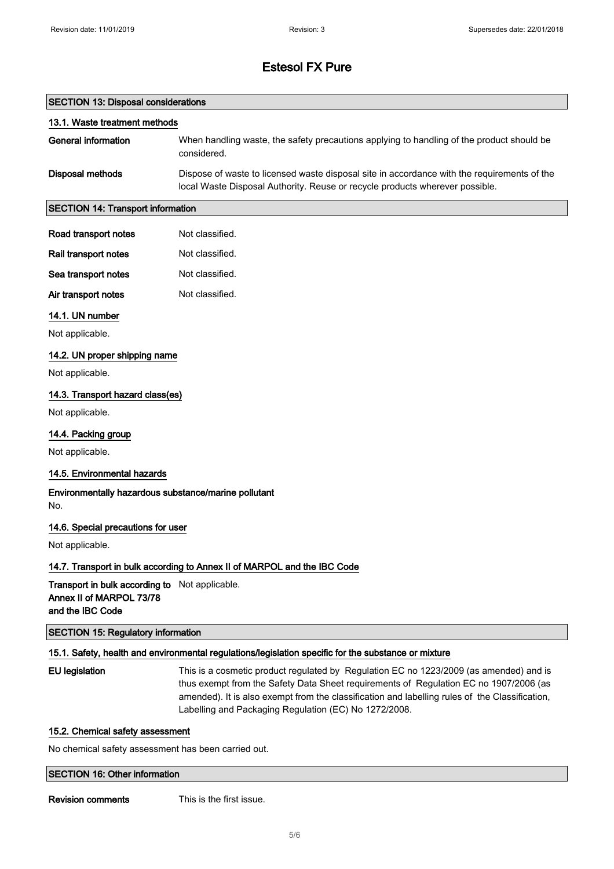#### SECTION 13: Disposal considerations

| 13.1. Waste treatment methods |                                                                                                                                                                             |  |  |
|-------------------------------|-----------------------------------------------------------------------------------------------------------------------------------------------------------------------------|--|--|
| General information           | When handling waste, the safety precautions applying to handling of the product should be<br>considered.                                                                    |  |  |
| Disposal methods              | Dispose of waste to licensed waste disposal site in accordance with the requirements of the<br>local Waste Disposal Authority. Reuse or recycle products wherever possible. |  |  |

#### SECTION 14: Transport information

| Road transport notes | Not classified. |
|----------------------|-----------------|
|                      |                 |

| Rail transport notes | Not classified. |
|----------------------|-----------------|
| Sea transport notes  | Not classified. |

| Air transport notes | Not classified. |
|---------------------|-----------------|

#### 14.1. UN number

Not applicable.

#### 14.2. UN proper shipping name

Not applicable.

#### 14.3. Transport hazard class(es)

Not applicable.

#### 14.4. Packing group

Not applicable.

#### 14.5. Environmental hazards

Environmentally hazardous substance/marine pollutant No.

#### 14.6. Special precautions for user

Not applicable.

#### 14.7. Transport in bulk according to Annex II of MARPOL and the IBC Code

Transport in bulk according to Not applicable. Annex II of MARPOL 73/78 and the IBC Code

SECTION 15: Regulatory information

#### 15.1. Safety, health and environmental regulations/legislation specific for the substance or mixture

EU legislation This is a cosmetic product regulated by Regulation EC no 1223/2009 (as amended) and is thus exempt from the Safety Data Sheet requirements of Regulation EC no 1907/2006 (as amended). It is also exempt from the classification and labelling rules of the Classification, Labelling and Packaging Regulation (EC) No 1272/2008.

#### 15.2. Chemical safety assessment

No chemical safety assessment has been carried out.

#### SECTION 16: Other information

Revision comments This is the first issue.